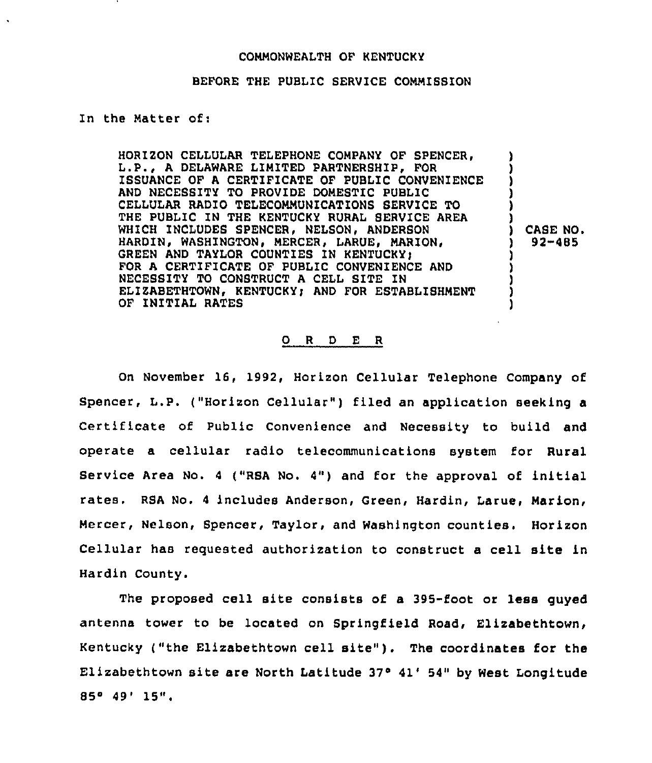#### COMMONWEALTH OF KENTUCKY

#### BEFORE THE PUBLIC SERVICE COMMISSION

## In the Natter of:

HORIZON CELLULAR TELEPHONE COMPANY OF SPENCER, L.P., A DELAWARE LIMITED PARTNERSHIP, FOR ISSUANCE OF A CERTIFICATE OF PUBLIC CONVENIENCE AND NECESSITY TO PROVIDE DOMESTIC PUBLIC CELLULAR RADIO TELECOMMUNICATIONS SERVICE TO THE PUBLIC IN THE KENTUCKY RURAL SERVICE AREA WHICH INCLUDES SPENCER, NELSON, ANDERSON HARDIN, WASHINGTON, MERCER, LARUE, MARION, GREEN AND TAYLOR COUNTIES IN KENTUCKY: FOR A CERTIFICATE OF PUBLIC CONVENIENCE AND NECESSITY TO CONSTRUCT <sup>A</sup> CELL SITE IN ELIZABETHTOWN, KENTUCKY; AND FOR ESTABLISHMENT OF INITIAL RATES ) ) ) ) ) ) ) CASE NO.<br> $\frac{1}{2}$  92-485 ) 92-485 ) ) ) l

## 0 <sup>R</sup> <sup>D</sup> E <sup>R</sup>

On November l6, 1992, Horizon Cellular Telephone Company of Spencer, L.P. ("Horizon Cellular" ) filed an application seeking <sup>a</sup> Certificate of Public Convenience and Necessity to build and operate a cellular radio telecommunications system for Rural Service Area No. <sup>4</sup> ("RSA No. 4") and for the approval of initial rates. RSA No. <sup>4</sup> includes Anderson, Green, Hardin, Larue, Marion, Mercer, Nelson, Spencer, Taylor, and Washington counties. Horizon Cellular has requested authorization to construct a cell site in Hardin County.

The proposed cell site consists of a 395-foot or less guyed antenna tower to be located on Springfield Road, Elizabethtown, Kentucky ("the Elizabethtown cell site" ). The coordinates for the Elizabethtown site are North Latitude  $37°$  41' 54" by West Longitude <sup>854</sup> 49'5".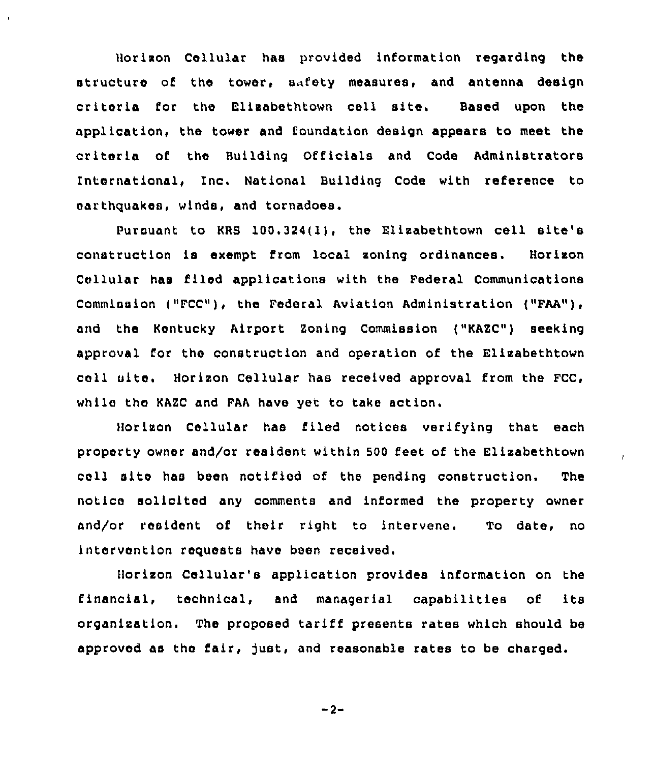Horizon Cellular has provided information regarding the structure of the tower, safety measures, and antenna design criteria for the Elizabethtown cell site. Based upon the application, the tower and foundation design appears to meet the criteria of the Building Officials and Code Administrators International, Inc. National Building Code with reference to earthquakes, winds, and tornadoes.

pursuant to KRS 100.324(1}, the Elizabethtown cell site's construction ls exempt from local zoning ordinances. Horizon Cellular has filed applications with the Federal Communications Commission ("FCC"), the Federal Aviation Administration ("FAA"), and the Kentucky Airport Zoning Commission ("KAZC") seeking approval for the construction and operation of the Elizabethtown call site. Horizon Cellular has received approval from the FCC, while the KAZC and FAA have yet to take action.

Horizon Cellular has filed notices verifying that each property owner and/or resident within 500 feet of the Elizabethtown cell alto has been notified of the pending construction. The notice solicited any comments and informed the property owner and/or resident of their right to intervene. To date, no intervention requests have been received.

 $\mathbf{r}$ 

Horizon Cellular's application provides information on the financial, technical, and managerial capabilities of its organization, The proposed tariff presents rates which should be approved as the fair, just, and reasonable rates to be charged.

$$
-2 -
$$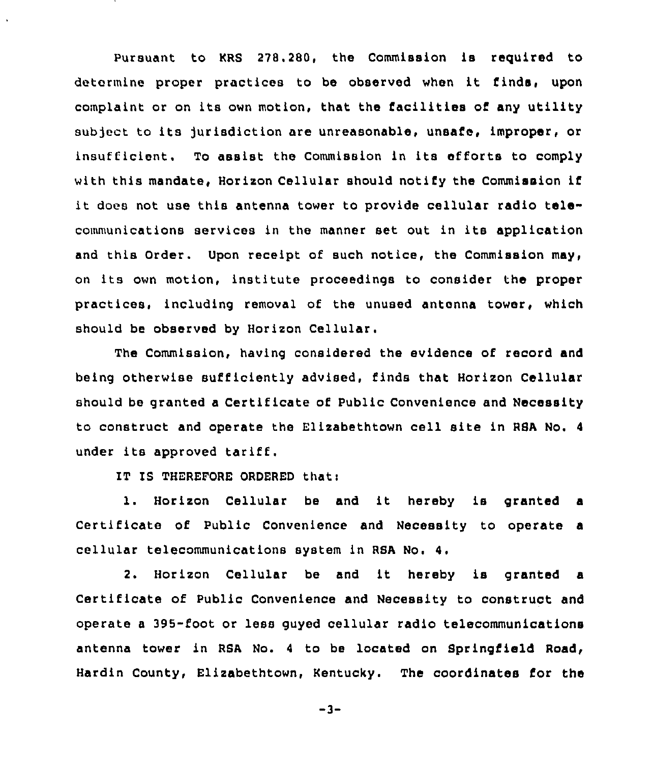Pursuant to KRS 278.280, the Commission is required to determine proper practices to be observed when it finds, upon complaint or on its own motion, that the facilities of any utility subject to its Jurisdiction are unreasonable, unsafe, improper, or insufficient. To assist the Commission in its efforts to comply with this mandate, Horizon Cellular should notify the Commission if it does not use this antenna tower to provide cellular radio telecommunications services in the manner set out in its application and this Order. Upon receipt of such notice, the Commission may, on its own motion, institute proceedings to consider the proper practices, including removal of the unused antenna tower, which should be observed by Horizon Cellular.

The Commission, having considered the evidence of record and being otherwise sufficiently advised, finds that Horizon Cellular should be granted a Certificate of Public Convenience and Necessity to construct and operate the Elizabethtown cell site in RSA No. <sup>4</sup> under its approved tariff.

IT IS THEREFORE ORDERED that:

1. Horizon Cellular be and it hereby is granted Certificate of Public Convenience and Necessity to operate a cellular telecommunications system in RSA No. 4.

2. Horizon Cellular be and it hereby is granted <sup>a</sup> Certificate of Public Convenience and Necessity to construct and operate a 395-foot or less guyed cellular radio telecommunications antenna tower in RSA No. <sup>4</sup> to be located on Springfield Road, Hardin County, Elizabethtown, Kentucky. The coordinates for the

 $-3-$